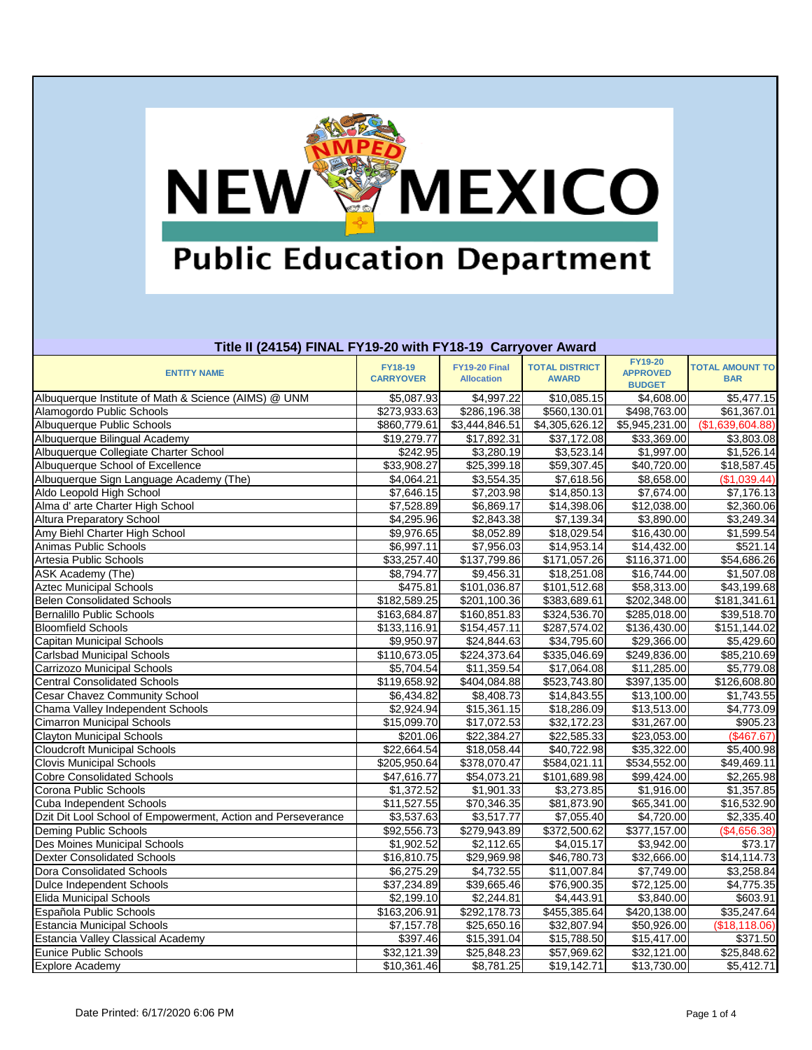

## **Title II (24154) FINAL FY19-20 with FY18-19 Carryover Award**

| TRO II (27137) I MAL I TIJ 20 WRITT TIO TJ QAH YOVGI AWARA   |                             |                                    |                                       |                                   |                                      |
|--------------------------------------------------------------|-----------------------------|------------------------------------|---------------------------------------|-----------------------------------|--------------------------------------|
| <b>ENTITY NAME</b>                                           | FY18-19<br><b>CARRYOVER</b> | FY19-20 Final<br><b>Allocation</b> | <b>TOTAL DISTRICT</b><br><b>AWARD</b> | <b>FY19-20</b><br><b>APPROVED</b> | <b>TOTAL AMOUNT TO</b><br><b>BAR</b> |
|                                                              |                             |                                    |                                       | <b>BUDGET</b>                     |                                      |
| Albuquerque Institute of Math & Science (AIMS) @ UNM         | \$5,087.93                  | \$4,997.22                         | \$10,085.15                           | \$4,608.00                        | \$5,477.15                           |
| Alamogordo Public Schools                                    | \$273,933.63                | \$286,196.38                       | \$560,130.01                          | \$498,763.00                      | \$61,367.01                          |
| Albuquerque Public Schools                                   | \$860,779.61                | \$3,444,846.51                     | \$4,305,626.12                        | \$5,945,231.00                    | (\$1,639,604.88)                     |
| Albuquerque Bilingual Academy                                | \$19,279.77                 | \$17,892.31                        | \$37,172.08                           | \$33,369.00                       | \$3,803.08                           |
| Albuquerque Collegiate Charter School                        | \$242.95                    | \$3,280.19                         | \$3,523.14                            | \$1,997.00                        | \$1,526.14                           |
| Albuquerque School of Excellence                             | \$33,908.27                 | \$25,399.18                        | \$59,307.45                           | \$40,720.00                       | \$18,587.45                          |
| Albuquerque Sign Language Academy (The)                      | \$4,064.21                  | \$3,554.35                         | \$7,618.56                            | \$8,658.00                        | (\$1,039.44)                         |
| Aldo Leopold High School                                     | \$7,646.15                  | \$7,203.98                         | \$14,850.13                           | \$7,674.00                        | \$7,176.13                           |
| Alma d' arte Charter High School                             | \$7,528.89                  | \$6,869.17                         | \$14,398.06                           | \$12,038.00                       | \$2,360.06                           |
| <b>Altura Preparatory School</b>                             | \$4,295.96                  | \$2,843.38                         | \$7,139.34                            | \$3,890.00                        | \$3,249.34                           |
| Amy Biehl Charter High School                                | \$9,976.65                  | \$8,052.89                         | \$18,029.54                           | \$16,430.00                       | \$1,599.54                           |
| Animas Public Schools                                        | \$6,997.11                  | \$7,956.03                         | \$14,953.14                           | \$14,432.00                       | \$521.14                             |
| Artesia Public Schools                                       | \$33,257.40                 | \$137,799.86                       | \$171,057.26                          | \$116,371.00                      | \$54,686.26                          |
| ASK Academy (The)                                            | \$8,794.77                  | \$9,456.31                         | \$18,251.08                           | \$16,744.00                       | \$1,507.08                           |
| <b>Aztec Municipal Schools</b>                               | \$475.81                    | \$101,036.87                       | $\overline{$101,512.68}$              | \$58,313.00                       | \$43,199.68                          |
| <b>Belen Consolidated Schools</b>                            | \$182,589.25                | \$201,100.36                       | \$383,689.61                          | \$202,348.00                      | \$181,341.61                         |
| <b>Bernalillo Public Schools</b>                             | \$163,684.87                | \$160,851.83                       | \$324,536.70                          | \$285,018.00                      | \$39,518.70                          |
| <b>Bloomfield Schools</b>                                    | \$133,116.91                | \$154,457.11                       | \$287,574.02                          | \$136,430.00                      | \$151,144.02                         |
| Capitan Municipal Schools                                    | \$9,950.97                  | \$24,844.63                        | \$34,795.60                           | \$29,366.00                       | \$5,429.60                           |
| <b>Carlsbad Municipal Schools</b>                            | \$110,673.05                | \$224,373.64                       | \$335,046.69                          | \$249,836.00                      | \$85,210.69                          |
| Carrizozo Municipal Schools                                  | \$5,704.54                  | \$11,359.54                        | \$17,064.08                           | \$11,285.00                       | \$5,779.08                           |
| <b>Central Consolidated Schools</b>                          | \$119,658.92                | \$404,084.88                       | \$523,743.80                          | \$397,135.00                      | \$126,608.80                         |
| <b>Cesar Chavez Community School</b>                         | \$6,434.82                  | \$8,408.73                         | \$14,843.55                           | \$13,100.00                       | \$1,743.55                           |
| Chama Valley Independent Schools                             | \$2,924.94                  | \$15,361.15                        | \$18,286.09                           | \$13,513.00                       | \$4,773.09                           |
| <b>Cimarron Municipal Schools</b>                            | \$15,099.70                 | \$17,072.53                        | \$32,172.23                           | \$31,267.00                       | \$905.23                             |
| <b>Clayton Municipal Schools</b>                             | \$201.06                    | \$22,384.27                        | \$22,585.33                           | \$23,053.00                       | (\$467.67)                           |
| <b>Cloudcroft Municipal Schools</b>                          | \$22,664.54                 | \$18,058.44                        | \$40,722.98                           | \$35,322.00                       | \$5,400.98                           |
| <b>Clovis Municipal Schools</b>                              | \$205,950.64                | \$378,070.47                       | \$584,021.11                          | \$534,552.00                      | \$49,469.11                          |
| <b>Cobre Consolidated Schools</b>                            | \$47,616.77                 | \$54,073.21                        | \$101,689.98                          | \$99,424.00                       | \$2,265.98                           |
| Corona Public Schools                                        | \$1,372.52                  | \$1,901.33                         | \$3,273.85                            | \$1,916.00                        | \$1,357.85                           |
| Cuba Independent Schools                                     | \$11,527.55                 | \$70,346.35                        | \$81,873.90                           | \$65,341.00                       | \$16,532.90                          |
| Dzit Dit Lool School of Empowerment, Action and Perseverance | \$3,537.63                  | \$3,517.77                         | \$7,055.40                            | \$4,720.00                        | \$2,335.40                           |
| Deming Public Schools                                        | \$92,556.73                 | $\overline{$279,943.89}$           | $\overline{$372,500.62}$              | \$377,157.00                      | (\$4,656.38)                         |
| Des Moines Municipal Schools                                 | \$1,902.52                  | \$2,112.65                         | \$4,015.17                            | \$3,942.00                        | \$73.17                              |
| <b>Dexter Consolidated Schools</b>                           | \$16,810.75                 | \$29,969.98                        | \$46,780.73                           | \$32,666.00                       | \$14,114.73                          |
| Dora Consolidated Schools                                    | \$6,275.29                  | \$4,732.55                         | \$11,007.84                           | \$7,749.00                        | \$3,258.84                           |
| Dulce Independent Schools                                    | \$37,234.89                 | \$39,665.46                        | \$76,900.35                           | \$72,125.00                       | \$4,775.35                           |
| <b>Elida Municipal Schools</b>                               | \$2,199.10                  | \$2,244.81                         | \$4,443.91                            | \$3,840.00                        | \$603.91                             |
| Española Public Schools                                      | \$163,206.91                | \$292,178.73                       | \$455,385.64                          | \$420,138.00                      | \$35,247.64                          |
| <b>Estancia Municipal Schools</b>                            | \$7,157.78                  | \$25,650.16                        | \$32,807.94                           | \$50,926.00                       | (\$18,118.06)                        |
| <b>Estancia Valley Classical Academy</b>                     | \$397.46                    | \$15,391.04                        | \$15,788.50                           | \$15,417.00                       | \$371.50                             |
| <b>Eunice Public Schools</b>                                 | \$32,121.39                 | \$25,848.23                        | \$57,969.62                           | \$32,121.00                       | \$25,848.62                          |
| <b>Explore Academy</b>                                       | \$10,361.46                 | \$8,781.25                         | \$19,142.71                           | \$13,730.00                       | \$5,412.71                           |
|                                                              |                             |                                    |                                       |                                   |                                      |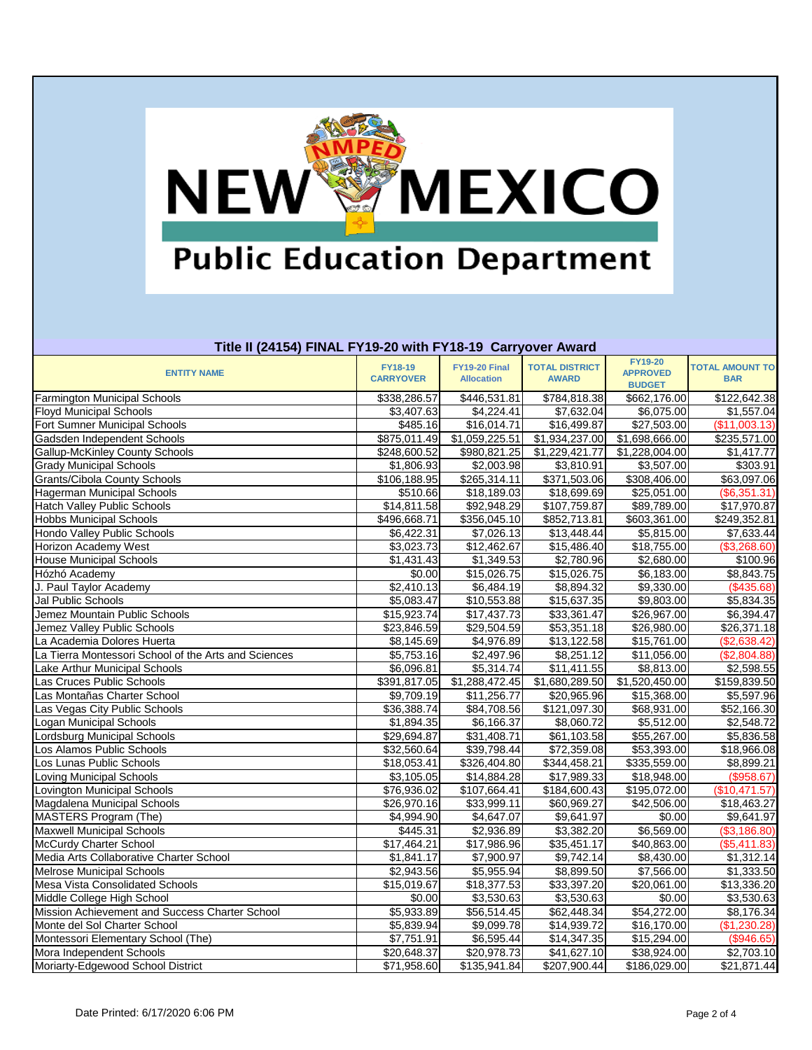

## **Title II (24154) FINAL FY19-20 with FY18-19 Carryover Award**

| TRIC II (24134) FINAL FT 13-20 WRITET 10-13 CATTYOVEL AWARD |                          |                             |                          |                                   |                        |
|-------------------------------------------------------------|--------------------------|-----------------------------|--------------------------|-----------------------------------|------------------------|
| <b>ENTITY NAME</b>                                          | <b>FY18-19</b>           | <b>FY19-20 Final</b>        | <b>TOTAL DISTRICT</b>    | <b>FY19-20</b><br><b>APPROVED</b> | <b>TOTAL AMOUNT TO</b> |
|                                                             | <b>CARRYOVER</b>         | <b>Allocation</b>           | <b>AWARD</b>             | <b>BUDGET</b>                     | <b>BAR</b>             |
| Farmington Municipal Schools                                | \$338,286.57             | $\overline{$}446,531.81$    | \$784,818.38             | \$662,176.00                      | \$122,642.38           |
| <b>Floyd Municipal Schools</b>                              | \$3,407.63               | \$4,224.41                  | \$7,632.04               | \$6,075.00                        | \$1,557.04             |
| Fort Sumner Municipal Schools                               | \$485.16                 | \$16,014.71                 | \$16,499.87              | \$27,503.00                       | (\$11,003.13)          |
| Gadsden Independent Schools                                 | $\overline{$875,011.49}$ | $\overline{\$1,059,225.51}$ | \$1,934,237.00           | \$1,698,666.00                    | \$235,571.00           |
| <b>Gallup-McKinley County Schools</b>                       | \$248,600.52             | \$980,821.25                | \$1,229,421.77           | \$1,228,004.00                    | \$1,417.77             |
| <b>Grady Municipal Schools</b>                              | \$1,806.93               | \$2,003.98                  | $\overline{$}3,810.91$   | \$3,507.00                        | \$303.91               |
| Grants/Cibola County Schools                                | \$106,188.95             | \$265,314.11                | \$371,503.06             | \$308,406.00                      | \$63,097.06            |
| Hagerman Municipal Schools                                  | \$510.66                 | \$18,189.03                 | \$18,699.69              | \$25,051.00                       | (\$6,351.31)           |
| <b>Hatch Valley Public Schools</b>                          | \$14,811.58              | \$92,948.29                 | $\overline{$107,759.87}$ | \$89,789.00                       | \$17,970.87            |
| <b>Hobbs Municipal Schools</b>                              | \$496,668.71             | \$356,045.10                | \$852,713.81             | \$603,361.00                      | \$249,352.81           |
| Hondo Valley Public Schools                                 | \$6,422.31               | \$7,026.13                  | \$13,448.44              | \$5,815.00                        | \$7,633.44             |
| <b>Horizon Academy West</b>                                 | \$3,023.73               | \$12,462.67                 | \$15,486.40              | \$18,755.00                       | (\$3,268.60)           |
| <b>House Municipal Schools</b>                              | \$1,431.43               | \$1,349.53                  | \$2,780.96               | \$2,680.00                        | \$100.96               |
| Hózhó Academy                                               | \$0.00                   | \$15,026.75                 | \$15,026.75              | \$6,183.00                        | \$8,843.75             |
| J. Paul Taylor Academy                                      | \$2,410.13               | \$6,484.19                  | \$8,894.32               | \$9,330.00                        | (\$435.68)             |
| Jal Public Schools                                          | \$5,083.47               | \$10,553.88                 | \$15,637.35              | \$9,803.00                        | \$5,834.35             |
| Jemez Mountain Public Schools                               | \$15,923.74              | \$17,437.73                 | \$33,361.47              | \$26,967.00                       | \$6,394.47             |
| Jemez Valley Public Schools                                 | \$23,846.59              | \$29,504.59                 | \$53,351.18              | \$26,980.00                       | \$26,371.18            |
| La Academia Dolores Huerta                                  | \$8,145.69               | \$4,976.89                  | \$13,122.58              | \$15,761.00                       | (\$2,638.42)           |
| La Tierra Montessori School of the Arts and Sciences        | \$5,753.16               | \$2,497.96                  | \$8,251.12               | \$11,056.00                       | (\$2,804.88)           |
| Lake Arthur Municipal Schools                               | \$6,096.81               | \$5,314.74                  | \$11,411.55              | \$8,813.00                        | \$2,598.55             |
| Las Cruces Public Schools                                   | \$391,817.05             | \$1,288,472.45              | \$1,680,289.50           | \$1,520,450.00                    | \$159,839.50           |
| Las Montañas Charter School                                 | \$9,709.19               | \$11,256.77                 | \$20,965.96              | \$15,368.00                       | \$5,597.96             |
| Las Vegas City Public Schools                               | \$36,388.74              | \$84,708.56                 | \$121,097.30             | \$68,931.00                       | \$52,166.30            |
| Logan Municipal Schools                                     | \$1,894.35               | \$6,166.37                  | \$8,060.72               | \$5,512.00                        | \$2,548.72             |
| Lordsburg Municipal Schools                                 | \$29,694.87              | \$31,408.71                 | \$61,103.58              | \$55,267.00                       | \$5,836.58             |
| Los Alamos Public Schools                                   | \$32,560.64              | \$39,798.44                 | \$72,359.08              | \$53,393.00                       | \$18,966.08            |
| Los Lunas Public Schools                                    | \$18,053.41              | \$326,404.80                | \$344,458.21             | \$335,559.00                      | \$8,899.21             |
| Loving Municipal Schools                                    | \$3,105.05               | \$14,884.28                 | \$17,989.33              | \$18,948.00                       | (\$958.67)             |
| Lovington Municipal Schools                                 | \$76,936.02              | \$107,664.41                | \$184,600.43             | \$195,072.00                      | (\$10,471.57)          |
| Magdalena Municipal Schools                                 | $\overline{$26,970.16}$  | \$33,999.11                 | \$60,969.27              | \$42,506.00                       | \$18,463.27            |
| <b>MASTERS Program (The)</b>                                | \$4,994.90               | \$4,647.07                  | \$9,641.97               | \$0.00                            | \$9,641.97             |
| <b>Maxwell Municipal Schools</b>                            | \$445.31                 | \$2,936.89                  | \$3,382.20               | \$6,569.00                        | (\$3,186.80)           |
| McCurdy Charter School                                      | \$17,464.21              | \$17,986.96                 | \$35,451.17              | \$40,863.00                       | (\$5,411.83)           |
| Media Arts Collaborative Charter School                     | \$1,841.17               | \$7,900.97                  | \$9,742.14               | \$8,430.00                        | \$1,312.14             |
| <b>Melrose Municipal Schools</b>                            | \$2,943.56               | \$5,955.94                  | \$8,899.50               | \$7,566.00                        | \$1,333.50             |
| <b>Mesa Vista Consolidated Schools</b>                      | \$15,019.67              | \$18,377.53                 | \$33,397.20              | \$20,061.00                       | \$13,336.20            |
| Middle College High School                                  | \$0.00                   | \$3,530.63                  | \$3,530.63               | \$0.00                            | \$3,530.63             |
| Mission Achievement and Success Charter School              | \$5,933.89               | \$56,514.45                 | \$62,448.34              | \$54,272.00                       | \$8,176.34             |
| Monte del Sol Charter School                                | \$5,839.94               | \$9,099.78                  | \$14,939.72              | \$16,170.00                       | (\$1,230.28)           |
| Montessori Elementary School (The)                          | \$7,751.91               | \$6,595.44                  | \$14,347.35              | \$15,294.00                       | (\$946.65)             |
| Mora Independent Schools                                    | $\overline{$20,648.37}$  | \$20,978.73                 | \$41,627.10              | \$38,924.00                       | \$2,703.10             |
| Moriarty-Edgewood School District                           | \$71,958.60              | \$135,941.84                | \$207,900.44             | \$186,029.00                      | \$21,871.44            |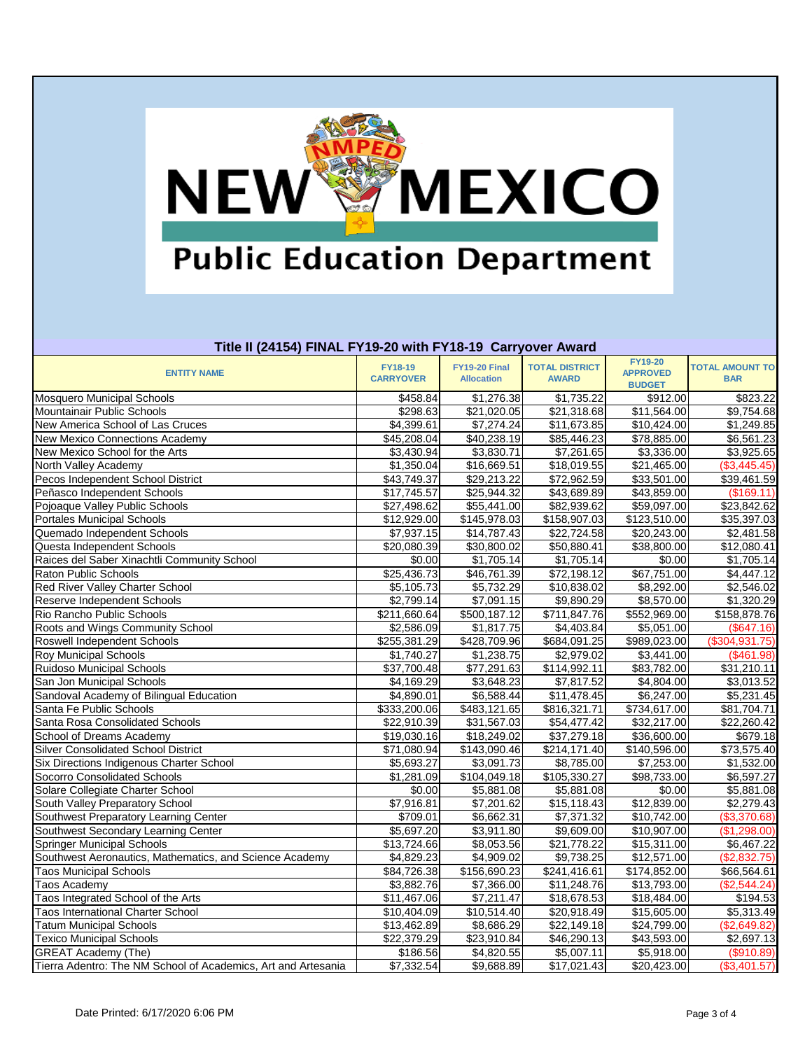

## **Title II (24154) FINAL FY19-20 with FY18-19 Carryover Award**

| <b>FY19-20</b><br><b>FY18-19</b><br>FY19-20 Final<br><b>TOTAL DISTRICT</b><br><b>TOTAL AMOUNT TO</b><br><b>APPROVED</b><br><b>ENTITY NAME</b><br><b>CARRYOVER</b><br><b>Allocation</b><br><b>AWARD</b><br><b>BAR</b><br><b>BUDGET</b><br>\$458.84<br>\$1,276.38<br>\$1,735.22<br>\$912.00<br>\$823.22<br>$\overline{$}11,564.00$<br>\$21,020.05<br>\$21,318.68<br>\$9,754.68<br>\$298.63<br>\$7,274.24<br>\$4,399.61<br>\$11,673.85<br>\$10,424.00<br>\$1,249.85<br>\$45,208.04<br>\$40,238.19<br>\$78,885.00<br>\$6,561.23<br>\$85,446.23<br>\$3,830.71<br>\$3,430.94<br>\$7,261.65<br>\$3,336.00<br>\$3,925.65<br>\$1,350.04<br>\$16,669.51<br>\$18,019.55<br>\$21,465.00<br>(\$3,445.45)<br>\$43,749.37<br>\$29,213.22<br>\$72,962.59<br>\$33,501.00<br>\$39,461.59<br>Peñasco Independent Schools<br>\$17,745.57<br>\$25,944.32<br>\$43,689.89<br>\$43,859.00<br>(\$169.11)<br>Pojoaque Valley Public Schools<br>$\overline{$}55,441.00$<br>\$82,939.62<br>\$59,097.00<br>\$27,498.62<br>\$23,842.62<br>Portales Municipal Schools<br>$\overline{$123,510.00}$<br>\$12,929.00<br>$\overline{$}145,978.03$<br>\$158,907.03<br>\$35,397.03<br>Quemado Independent Schools<br>\$7,937.15<br>\$22,724.58<br>\$14,787.43<br>\$20,243.00<br>\$2,481.58<br>Questa Independent Schools<br>\$20,080.39<br>\$30,800.02<br>\$50,880.41<br>\$38,800.00<br>\$12,080.41<br>Raices del Saber Xinachtli Community School<br>\$0.00<br>\$1,705.14<br>\$1,705.14<br>\$0.00<br>\$1,705.14<br>$\overline{$25,436.73}$<br>\$67,751.00<br>\$46,761.39<br>\$72,198.12<br>\$4,447.12<br>\$2,546.02<br>\$5,105.73<br>\$5,732.29<br>\$10,838.02<br>\$8,292.00<br>Red River Valley Charter School<br>\$7,091.15<br>\$2,799.14<br>\$9,890.29<br>\$8,570.00<br>\$1,320.29<br>Reserve Independent Schools<br>\$500,187.12<br>\$711,847.76<br>\$211,660.64<br>\$552,969.00<br>\$158,878.76<br>\$1,817.75<br>Roots and Wings Community School<br>\$2,586.09<br>\$4,403.84<br>\$5,051.00<br>(\$647.16)<br>\$255,381.29<br>\$428,709.96<br>\$989,023.00<br>(\$304, 931.75)<br>Roswell Independent Schools<br>\$684,091.25<br><b>Roy Municipal Schools</b><br>\$1,740.27<br>\$1,238.75<br>\$2,979.02<br>\$3,441.00<br>$(\$461.98)$<br>\$77,291.63<br>\$83,782.00<br><b>Ruidoso Municipal Schools</b><br>\$37,700.48<br>\$114,992.11<br>\$31,210.11<br>San Jon Municipal Schools<br>\$4,169.29<br>\$3,648.23<br>\$7,817.52<br>\$4,804.00<br>\$3,013.52<br>Sandoval Academy of Bilingual Education<br>\$6,588.44<br>\$4,890.01<br>\$11,478.45<br>\$6,247.00<br>\$5,231.45<br>$\overline{$}734,617.00$<br>\$333,200.06<br>\$483,121.65<br>\$816,321.71<br>\$81,704.71<br>Santa Rosa Consolidated Schools<br>\$22,910.39<br>\$31,567.03<br>\$54,477.42<br>\$32,217.00<br>\$22,260.42<br>School of Dreams Academy<br>\$18,249.02<br>\$37,279.18<br>\$679.18<br>\$19,030.16<br>\$36,600.00<br><b>Silver Consolidated School District</b><br>\$140,596.00<br>\$71,080.94<br>\$143,090.46<br>\$214,171.40<br>\$73,575.40<br><b>Six Directions Indigenous Charter School</b><br>\$3,091.73<br>\$7,253.00<br>\$5,693.27<br>\$8,785.00<br>\$1,532.00<br>Socorro Consolidated Schools<br>\$104,049.18<br>\$1,281.09<br>\$105,330.27<br>\$98,733.00<br>\$6,597.27<br>Solare Collegiate Charter School<br>\$0.00<br>\$5,881.08<br>\$5,881.08<br>\$5,881.08<br>\$0.00<br>South Valley Preparatory School<br>\$7,916.81<br>\$12,839.00<br>\$7,201.62<br>\$15,118.43<br>\$2,279.43<br>Southwest Preparatory Learning Center<br>\$6,662.31<br>\$7,371.32<br>\$709.01<br>\$10,742.00<br>(\$3,370.68)<br>Southwest Secondary Learning Center<br>\$3,911.80<br>\$5,697.20<br>\$9,609.00<br>\$10,907.00<br>(\$1,298.00)<br><b>Springer Municipal Schools</b><br>\$13,724.66<br>\$8,053.56<br>\$21,778.22<br>\$15,311.00<br>\$6,467.22<br>Southwest Aeronautics, Mathematics, and Science Academy<br>\$4,829.23<br>\$4,909.02<br>\$9,738.25<br>\$12,571.00<br>(\$2,832.75)<br>\$84,726.38<br>\$174,852.00<br><b>Taos Municipal Schools</b><br>\$156,690.23<br>\$241,416.61<br>\$66,564.61<br>\$3,882.76<br>\$7,366.00<br>\$11,248.76<br>\$13,793.00<br>(\$2,544.24)<br><b>Taos Academy</b><br>\$11,467.06<br>\$7,211.47<br>\$18,678.53<br>\$18,484.00<br>Taos Integrated School of the Arts<br>\$194.53<br>\$10,404.09<br>\$10,514.40<br>\$15,605.00<br><b>Taos International Charter School</b><br>\$20,918.49<br>\$5,313.49<br><b>Tatum Municipal Schools</b><br>\$13,462.89<br>\$8,686.29<br>\$22,149.18<br>\$24,799.00<br>(\$2,649.82)<br>\$22,379.29<br><b>Texico Municipal Schools</b><br>\$23,910.84<br>\$43,593.00<br>\$2,697.13<br>\$46,290.13<br><b>GREAT Academy (The)</b><br>\$186.56<br>\$4,820.55<br>\$5,007.11<br>\$5,918.00<br>(\$910.89)<br>Tierra Adentro: The NM School of Academics, Art and Artesania<br>\$7,332.54<br>\$9,688.89<br>\$17,021.43<br>\$20,423.00<br>(\$3,401.57) | TRIC II (4 TIV T) I IIN CETTIV ZU WRITT TIV TV VAIT YOVCI AWAI U |  |  |  |
|------------------------------------------------------------------------------------------------------------------------------------------------------------------------------------------------------------------------------------------------------------------------------------------------------------------------------------------------------------------------------------------------------------------------------------------------------------------------------------------------------------------------------------------------------------------------------------------------------------------------------------------------------------------------------------------------------------------------------------------------------------------------------------------------------------------------------------------------------------------------------------------------------------------------------------------------------------------------------------------------------------------------------------------------------------------------------------------------------------------------------------------------------------------------------------------------------------------------------------------------------------------------------------------------------------------------------------------------------------------------------------------------------------------------------------------------------------------------------------------------------------------------------------------------------------------------------------------------------------------------------------------------------------------------------------------------------------------------------------------------------------------------------------------------------------------------------------------------------------------------------------------------------------------------------------------------------------------------------------------------------------------------------------------------------------------------------------------------------------------------------------------------------------------------------------------------------------------------------------------------------------------------------------------------------------------------------------------------------------------------------------------------------------------------------------------------------------------------------------------------------------------------------------------------------------------------------------------------------------------------------------------------------------------------------------------------------------------------------------------------------------------------------------------------------------------------------------------------------------------------------------------------------------------------------------------------------------------------------------------------------------------------------------------------------------------------------------------------------------------------------------------------------------------------------------------------------------------------------------------------------------------------------------------------------------------------------------------------------------------------------------------------------------------------------------------------------------------------------------------------------------------------------------------------------------------------------------------------------------------------------------------------------------------------------------------------------------------------------------------------------------------------------------------------------------------------------------------------------------------------------------------------------------------------------------------------------------------------------------------------------------------------------------------------------------------------------------------------------------------------------------------------------------------------------------------------------------------------------------------------------------------------------------------------------------------------------------------------------------------------------------------------------------------------------------------------------------------------------------------------------------------------------------------------------------------------------------------------------------------------------------------------------------------------------------------------------------------------------------------------------------------------------------------------------------------------------------------------|------------------------------------------------------------------|--|--|--|
|                                                                                                                                                                                                                                                                                                                                                                                                                                                                                                                                                                                                                                                                                                                                                                                                                                                                                                                                                                                                                                                                                                                                                                                                                                                                                                                                                                                                                                                                                                                                                                                                                                                                                                                                                                                                                                                                                                                                                                                                                                                                                                                                                                                                                                                                                                                                                                                                                                                                                                                                                                                                                                                                                                                                                                                                                                                                                                                                                                                                                                                                                                                                                                                                                                                                                                                                                                                                                                                                                                                                                                                                                                                                                                                                                                                                                                                                                                                                                                                                                                                                                                                                                                                                                                                                                                                                                                                                                                                                                                                                                                                                                                                                                                                                                                                                                                                |                                                                  |  |  |  |
|                                                                                                                                                                                                                                                                                                                                                                                                                                                                                                                                                                                                                                                                                                                                                                                                                                                                                                                                                                                                                                                                                                                                                                                                                                                                                                                                                                                                                                                                                                                                                                                                                                                                                                                                                                                                                                                                                                                                                                                                                                                                                                                                                                                                                                                                                                                                                                                                                                                                                                                                                                                                                                                                                                                                                                                                                                                                                                                                                                                                                                                                                                                                                                                                                                                                                                                                                                                                                                                                                                                                                                                                                                                                                                                                                                                                                                                                                                                                                                                                                                                                                                                                                                                                                                                                                                                                                                                                                                                                                                                                                                                                                                                                                                                                                                                                                                                |                                                                  |  |  |  |
|                                                                                                                                                                                                                                                                                                                                                                                                                                                                                                                                                                                                                                                                                                                                                                                                                                                                                                                                                                                                                                                                                                                                                                                                                                                                                                                                                                                                                                                                                                                                                                                                                                                                                                                                                                                                                                                                                                                                                                                                                                                                                                                                                                                                                                                                                                                                                                                                                                                                                                                                                                                                                                                                                                                                                                                                                                                                                                                                                                                                                                                                                                                                                                                                                                                                                                                                                                                                                                                                                                                                                                                                                                                                                                                                                                                                                                                                                                                                                                                                                                                                                                                                                                                                                                                                                                                                                                                                                                                                                                                                                                                                                                                                                                                                                                                                                                                | <b>Mosquero Municipal Schools</b>                                |  |  |  |
|                                                                                                                                                                                                                                                                                                                                                                                                                                                                                                                                                                                                                                                                                                                                                                                                                                                                                                                                                                                                                                                                                                                                                                                                                                                                                                                                                                                                                                                                                                                                                                                                                                                                                                                                                                                                                                                                                                                                                                                                                                                                                                                                                                                                                                                                                                                                                                                                                                                                                                                                                                                                                                                                                                                                                                                                                                                                                                                                                                                                                                                                                                                                                                                                                                                                                                                                                                                                                                                                                                                                                                                                                                                                                                                                                                                                                                                                                                                                                                                                                                                                                                                                                                                                                                                                                                                                                                                                                                                                                                                                                                                                                                                                                                                                                                                                                                                | Mountainair Public Schools                                       |  |  |  |
|                                                                                                                                                                                                                                                                                                                                                                                                                                                                                                                                                                                                                                                                                                                                                                                                                                                                                                                                                                                                                                                                                                                                                                                                                                                                                                                                                                                                                                                                                                                                                                                                                                                                                                                                                                                                                                                                                                                                                                                                                                                                                                                                                                                                                                                                                                                                                                                                                                                                                                                                                                                                                                                                                                                                                                                                                                                                                                                                                                                                                                                                                                                                                                                                                                                                                                                                                                                                                                                                                                                                                                                                                                                                                                                                                                                                                                                                                                                                                                                                                                                                                                                                                                                                                                                                                                                                                                                                                                                                                                                                                                                                                                                                                                                                                                                                                                                | New America School of Las Cruces                                 |  |  |  |
|                                                                                                                                                                                                                                                                                                                                                                                                                                                                                                                                                                                                                                                                                                                                                                                                                                                                                                                                                                                                                                                                                                                                                                                                                                                                                                                                                                                                                                                                                                                                                                                                                                                                                                                                                                                                                                                                                                                                                                                                                                                                                                                                                                                                                                                                                                                                                                                                                                                                                                                                                                                                                                                                                                                                                                                                                                                                                                                                                                                                                                                                                                                                                                                                                                                                                                                                                                                                                                                                                                                                                                                                                                                                                                                                                                                                                                                                                                                                                                                                                                                                                                                                                                                                                                                                                                                                                                                                                                                                                                                                                                                                                                                                                                                                                                                                                                                | New Mexico Connections Academy                                   |  |  |  |
|                                                                                                                                                                                                                                                                                                                                                                                                                                                                                                                                                                                                                                                                                                                                                                                                                                                                                                                                                                                                                                                                                                                                                                                                                                                                                                                                                                                                                                                                                                                                                                                                                                                                                                                                                                                                                                                                                                                                                                                                                                                                                                                                                                                                                                                                                                                                                                                                                                                                                                                                                                                                                                                                                                                                                                                                                                                                                                                                                                                                                                                                                                                                                                                                                                                                                                                                                                                                                                                                                                                                                                                                                                                                                                                                                                                                                                                                                                                                                                                                                                                                                                                                                                                                                                                                                                                                                                                                                                                                                                                                                                                                                                                                                                                                                                                                                                                | New Mexico School for the Arts                                   |  |  |  |
|                                                                                                                                                                                                                                                                                                                                                                                                                                                                                                                                                                                                                                                                                                                                                                                                                                                                                                                                                                                                                                                                                                                                                                                                                                                                                                                                                                                                                                                                                                                                                                                                                                                                                                                                                                                                                                                                                                                                                                                                                                                                                                                                                                                                                                                                                                                                                                                                                                                                                                                                                                                                                                                                                                                                                                                                                                                                                                                                                                                                                                                                                                                                                                                                                                                                                                                                                                                                                                                                                                                                                                                                                                                                                                                                                                                                                                                                                                                                                                                                                                                                                                                                                                                                                                                                                                                                                                                                                                                                                                                                                                                                                                                                                                                                                                                                                                                | North Valley Academy                                             |  |  |  |
|                                                                                                                                                                                                                                                                                                                                                                                                                                                                                                                                                                                                                                                                                                                                                                                                                                                                                                                                                                                                                                                                                                                                                                                                                                                                                                                                                                                                                                                                                                                                                                                                                                                                                                                                                                                                                                                                                                                                                                                                                                                                                                                                                                                                                                                                                                                                                                                                                                                                                                                                                                                                                                                                                                                                                                                                                                                                                                                                                                                                                                                                                                                                                                                                                                                                                                                                                                                                                                                                                                                                                                                                                                                                                                                                                                                                                                                                                                                                                                                                                                                                                                                                                                                                                                                                                                                                                                                                                                                                                                                                                                                                                                                                                                                                                                                                                                                | Pecos Independent School District                                |  |  |  |
|                                                                                                                                                                                                                                                                                                                                                                                                                                                                                                                                                                                                                                                                                                                                                                                                                                                                                                                                                                                                                                                                                                                                                                                                                                                                                                                                                                                                                                                                                                                                                                                                                                                                                                                                                                                                                                                                                                                                                                                                                                                                                                                                                                                                                                                                                                                                                                                                                                                                                                                                                                                                                                                                                                                                                                                                                                                                                                                                                                                                                                                                                                                                                                                                                                                                                                                                                                                                                                                                                                                                                                                                                                                                                                                                                                                                                                                                                                                                                                                                                                                                                                                                                                                                                                                                                                                                                                                                                                                                                                                                                                                                                                                                                                                                                                                                                                                |                                                                  |  |  |  |
|                                                                                                                                                                                                                                                                                                                                                                                                                                                                                                                                                                                                                                                                                                                                                                                                                                                                                                                                                                                                                                                                                                                                                                                                                                                                                                                                                                                                                                                                                                                                                                                                                                                                                                                                                                                                                                                                                                                                                                                                                                                                                                                                                                                                                                                                                                                                                                                                                                                                                                                                                                                                                                                                                                                                                                                                                                                                                                                                                                                                                                                                                                                                                                                                                                                                                                                                                                                                                                                                                                                                                                                                                                                                                                                                                                                                                                                                                                                                                                                                                                                                                                                                                                                                                                                                                                                                                                                                                                                                                                                                                                                                                                                                                                                                                                                                                                                |                                                                  |  |  |  |
|                                                                                                                                                                                                                                                                                                                                                                                                                                                                                                                                                                                                                                                                                                                                                                                                                                                                                                                                                                                                                                                                                                                                                                                                                                                                                                                                                                                                                                                                                                                                                                                                                                                                                                                                                                                                                                                                                                                                                                                                                                                                                                                                                                                                                                                                                                                                                                                                                                                                                                                                                                                                                                                                                                                                                                                                                                                                                                                                                                                                                                                                                                                                                                                                                                                                                                                                                                                                                                                                                                                                                                                                                                                                                                                                                                                                                                                                                                                                                                                                                                                                                                                                                                                                                                                                                                                                                                                                                                                                                                                                                                                                                                                                                                                                                                                                                                                |                                                                  |  |  |  |
|                                                                                                                                                                                                                                                                                                                                                                                                                                                                                                                                                                                                                                                                                                                                                                                                                                                                                                                                                                                                                                                                                                                                                                                                                                                                                                                                                                                                                                                                                                                                                                                                                                                                                                                                                                                                                                                                                                                                                                                                                                                                                                                                                                                                                                                                                                                                                                                                                                                                                                                                                                                                                                                                                                                                                                                                                                                                                                                                                                                                                                                                                                                                                                                                                                                                                                                                                                                                                                                                                                                                                                                                                                                                                                                                                                                                                                                                                                                                                                                                                                                                                                                                                                                                                                                                                                                                                                                                                                                                                                                                                                                                                                                                                                                                                                                                                                                |                                                                  |  |  |  |
|                                                                                                                                                                                                                                                                                                                                                                                                                                                                                                                                                                                                                                                                                                                                                                                                                                                                                                                                                                                                                                                                                                                                                                                                                                                                                                                                                                                                                                                                                                                                                                                                                                                                                                                                                                                                                                                                                                                                                                                                                                                                                                                                                                                                                                                                                                                                                                                                                                                                                                                                                                                                                                                                                                                                                                                                                                                                                                                                                                                                                                                                                                                                                                                                                                                                                                                                                                                                                                                                                                                                                                                                                                                                                                                                                                                                                                                                                                                                                                                                                                                                                                                                                                                                                                                                                                                                                                                                                                                                                                                                                                                                                                                                                                                                                                                                                                                |                                                                  |  |  |  |
|                                                                                                                                                                                                                                                                                                                                                                                                                                                                                                                                                                                                                                                                                                                                                                                                                                                                                                                                                                                                                                                                                                                                                                                                                                                                                                                                                                                                                                                                                                                                                                                                                                                                                                                                                                                                                                                                                                                                                                                                                                                                                                                                                                                                                                                                                                                                                                                                                                                                                                                                                                                                                                                                                                                                                                                                                                                                                                                                                                                                                                                                                                                                                                                                                                                                                                                                                                                                                                                                                                                                                                                                                                                                                                                                                                                                                                                                                                                                                                                                                                                                                                                                                                                                                                                                                                                                                                                                                                                                                                                                                                                                                                                                                                                                                                                                                                                |                                                                  |  |  |  |
|                                                                                                                                                                                                                                                                                                                                                                                                                                                                                                                                                                                                                                                                                                                                                                                                                                                                                                                                                                                                                                                                                                                                                                                                                                                                                                                                                                                                                                                                                                                                                                                                                                                                                                                                                                                                                                                                                                                                                                                                                                                                                                                                                                                                                                                                                                                                                                                                                                                                                                                                                                                                                                                                                                                                                                                                                                                                                                                                                                                                                                                                                                                                                                                                                                                                                                                                                                                                                                                                                                                                                                                                                                                                                                                                                                                                                                                                                                                                                                                                                                                                                                                                                                                                                                                                                                                                                                                                                                                                                                                                                                                                                                                                                                                                                                                                                                                | <b>Raton Public Schools</b>                                      |  |  |  |
|                                                                                                                                                                                                                                                                                                                                                                                                                                                                                                                                                                                                                                                                                                                                                                                                                                                                                                                                                                                                                                                                                                                                                                                                                                                                                                                                                                                                                                                                                                                                                                                                                                                                                                                                                                                                                                                                                                                                                                                                                                                                                                                                                                                                                                                                                                                                                                                                                                                                                                                                                                                                                                                                                                                                                                                                                                                                                                                                                                                                                                                                                                                                                                                                                                                                                                                                                                                                                                                                                                                                                                                                                                                                                                                                                                                                                                                                                                                                                                                                                                                                                                                                                                                                                                                                                                                                                                                                                                                                                                                                                                                                                                                                                                                                                                                                                                                |                                                                  |  |  |  |
|                                                                                                                                                                                                                                                                                                                                                                                                                                                                                                                                                                                                                                                                                                                                                                                                                                                                                                                                                                                                                                                                                                                                                                                                                                                                                                                                                                                                                                                                                                                                                                                                                                                                                                                                                                                                                                                                                                                                                                                                                                                                                                                                                                                                                                                                                                                                                                                                                                                                                                                                                                                                                                                                                                                                                                                                                                                                                                                                                                                                                                                                                                                                                                                                                                                                                                                                                                                                                                                                                                                                                                                                                                                                                                                                                                                                                                                                                                                                                                                                                                                                                                                                                                                                                                                                                                                                                                                                                                                                                                                                                                                                                                                                                                                                                                                                                                                |                                                                  |  |  |  |
|                                                                                                                                                                                                                                                                                                                                                                                                                                                                                                                                                                                                                                                                                                                                                                                                                                                                                                                                                                                                                                                                                                                                                                                                                                                                                                                                                                                                                                                                                                                                                                                                                                                                                                                                                                                                                                                                                                                                                                                                                                                                                                                                                                                                                                                                                                                                                                                                                                                                                                                                                                                                                                                                                                                                                                                                                                                                                                                                                                                                                                                                                                                                                                                                                                                                                                                                                                                                                                                                                                                                                                                                                                                                                                                                                                                                                                                                                                                                                                                                                                                                                                                                                                                                                                                                                                                                                                                                                                                                                                                                                                                                                                                                                                                                                                                                                                                | Rio Rancho Public Schools                                        |  |  |  |
|                                                                                                                                                                                                                                                                                                                                                                                                                                                                                                                                                                                                                                                                                                                                                                                                                                                                                                                                                                                                                                                                                                                                                                                                                                                                                                                                                                                                                                                                                                                                                                                                                                                                                                                                                                                                                                                                                                                                                                                                                                                                                                                                                                                                                                                                                                                                                                                                                                                                                                                                                                                                                                                                                                                                                                                                                                                                                                                                                                                                                                                                                                                                                                                                                                                                                                                                                                                                                                                                                                                                                                                                                                                                                                                                                                                                                                                                                                                                                                                                                                                                                                                                                                                                                                                                                                                                                                                                                                                                                                                                                                                                                                                                                                                                                                                                                                                |                                                                  |  |  |  |
|                                                                                                                                                                                                                                                                                                                                                                                                                                                                                                                                                                                                                                                                                                                                                                                                                                                                                                                                                                                                                                                                                                                                                                                                                                                                                                                                                                                                                                                                                                                                                                                                                                                                                                                                                                                                                                                                                                                                                                                                                                                                                                                                                                                                                                                                                                                                                                                                                                                                                                                                                                                                                                                                                                                                                                                                                                                                                                                                                                                                                                                                                                                                                                                                                                                                                                                                                                                                                                                                                                                                                                                                                                                                                                                                                                                                                                                                                                                                                                                                                                                                                                                                                                                                                                                                                                                                                                                                                                                                                                                                                                                                                                                                                                                                                                                                                                                |                                                                  |  |  |  |
|                                                                                                                                                                                                                                                                                                                                                                                                                                                                                                                                                                                                                                                                                                                                                                                                                                                                                                                                                                                                                                                                                                                                                                                                                                                                                                                                                                                                                                                                                                                                                                                                                                                                                                                                                                                                                                                                                                                                                                                                                                                                                                                                                                                                                                                                                                                                                                                                                                                                                                                                                                                                                                                                                                                                                                                                                                                                                                                                                                                                                                                                                                                                                                                                                                                                                                                                                                                                                                                                                                                                                                                                                                                                                                                                                                                                                                                                                                                                                                                                                                                                                                                                                                                                                                                                                                                                                                                                                                                                                                                                                                                                                                                                                                                                                                                                                                                |                                                                  |  |  |  |
|                                                                                                                                                                                                                                                                                                                                                                                                                                                                                                                                                                                                                                                                                                                                                                                                                                                                                                                                                                                                                                                                                                                                                                                                                                                                                                                                                                                                                                                                                                                                                                                                                                                                                                                                                                                                                                                                                                                                                                                                                                                                                                                                                                                                                                                                                                                                                                                                                                                                                                                                                                                                                                                                                                                                                                                                                                                                                                                                                                                                                                                                                                                                                                                                                                                                                                                                                                                                                                                                                                                                                                                                                                                                                                                                                                                                                                                                                                                                                                                                                                                                                                                                                                                                                                                                                                                                                                                                                                                                                                                                                                                                                                                                                                                                                                                                                                                |                                                                  |  |  |  |
|                                                                                                                                                                                                                                                                                                                                                                                                                                                                                                                                                                                                                                                                                                                                                                                                                                                                                                                                                                                                                                                                                                                                                                                                                                                                                                                                                                                                                                                                                                                                                                                                                                                                                                                                                                                                                                                                                                                                                                                                                                                                                                                                                                                                                                                                                                                                                                                                                                                                                                                                                                                                                                                                                                                                                                                                                                                                                                                                                                                                                                                                                                                                                                                                                                                                                                                                                                                                                                                                                                                                                                                                                                                                                                                                                                                                                                                                                                                                                                                                                                                                                                                                                                                                                                                                                                                                                                                                                                                                                                                                                                                                                                                                                                                                                                                                                                                |                                                                  |  |  |  |
|                                                                                                                                                                                                                                                                                                                                                                                                                                                                                                                                                                                                                                                                                                                                                                                                                                                                                                                                                                                                                                                                                                                                                                                                                                                                                                                                                                                                                                                                                                                                                                                                                                                                                                                                                                                                                                                                                                                                                                                                                                                                                                                                                                                                                                                                                                                                                                                                                                                                                                                                                                                                                                                                                                                                                                                                                                                                                                                                                                                                                                                                                                                                                                                                                                                                                                                                                                                                                                                                                                                                                                                                                                                                                                                                                                                                                                                                                                                                                                                                                                                                                                                                                                                                                                                                                                                                                                                                                                                                                                                                                                                                                                                                                                                                                                                                                                                |                                                                  |  |  |  |
|                                                                                                                                                                                                                                                                                                                                                                                                                                                                                                                                                                                                                                                                                                                                                                                                                                                                                                                                                                                                                                                                                                                                                                                                                                                                                                                                                                                                                                                                                                                                                                                                                                                                                                                                                                                                                                                                                                                                                                                                                                                                                                                                                                                                                                                                                                                                                                                                                                                                                                                                                                                                                                                                                                                                                                                                                                                                                                                                                                                                                                                                                                                                                                                                                                                                                                                                                                                                                                                                                                                                                                                                                                                                                                                                                                                                                                                                                                                                                                                                                                                                                                                                                                                                                                                                                                                                                                                                                                                                                                                                                                                                                                                                                                                                                                                                                                                | Santa Fe Public Schools                                          |  |  |  |
|                                                                                                                                                                                                                                                                                                                                                                                                                                                                                                                                                                                                                                                                                                                                                                                                                                                                                                                                                                                                                                                                                                                                                                                                                                                                                                                                                                                                                                                                                                                                                                                                                                                                                                                                                                                                                                                                                                                                                                                                                                                                                                                                                                                                                                                                                                                                                                                                                                                                                                                                                                                                                                                                                                                                                                                                                                                                                                                                                                                                                                                                                                                                                                                                                                                                                                                                                                                                                                                                                                                                                                                                                                                                                                                                                                                                                                                                                                                                                                                                                                                                                                                                                                                                                                                                                                                                                                                                                                                                                                                                                                                                                                                                                                                                                                                                                                                |                                                                  |  |  |  |
|                                                                                                                                                                                                                                                                                                                                                                                                                                                                                                                                                                                                                                                                                                                                                                                                                                                                                                                                                                                                                                                                                                                                                                                                                                                                                                                                                                                                                                                                                                                                                                                                                                                                                                                                                                                                                                                                                                                                                                                                                                                                                                                                                                                                                                                                                                                                                                                                                                                                                                                                                                                                                                                                                                                                                                                                                                                                                                                                                                                                                                                                                                                                                                                                                                                                                                                                                                                                                                                                                                                                                                                                                                                                                                                                                                                                                                                                                                                                                                                                                                                                                                                                                                                                                                                                                                                                                                                                                                                                                                                                                                                                                                                                                                                                                                                                                                                |                                                                  |  |  |  |
|                                                                                                                                                                                                                                                                                                                                                                                                                                                                                                                                                                                                                                                                                                                                                                                                                                                                                                                                                                                                                                                                                                                                                                                                                                                                                                                                                                                                                                                                                                                                                                                                                                                                                                                                                                                                                                                                                                                                                                                                                                                                                                                                                                                                                                                                                                                                                                                                                                                                                                                                                                                                                                                                                                                                                                                                                                                                                                                                                                                                                                                                                                                                                                                                                                                                                                                                                                                                                                                                                                                                                                                                                                                                                                                                                                                                                                                                                                                                                                                                                                                                                                                                                                                                                                                                                                                                                                                                                                                                                                                                                                                                                                                                                                                                                                                                                                                |                                                                  |  |  |  |
|                                                                                                                                                                                                                                                                                                                                                                                                                                                                                                                                                                                                                                                                                                                                                                                                                                                                                                                                                                                                                                                                                                                                                                                                                                                                                                                                                                                                                                                                                                                                                                                                                                                                                                                                                                                                                                                                                                                                                                                                                                                                                                                                                                                                                                                                                                                                                                                                                                                                                                                                                                                                                                                                                                                                                                                                                                                                                                                                                                                                                                                                                                                                                                                                                                                                                                                                                                                                                                                                                                                                                                                                                                                                                                                                                                                                                                                                                                                                                                                                                                                                                                                                                                                                                                                                                                                                                                                                                                                                                                                                                                                                                                                                                                                                                                                                                                                |                                                                  |  |  |  |
|                                                                                                                                                                                                                                                                                                                                                                                                                                                                                                                                                                                                                                                                                                                                                                                                                                                                                                                                                                                                                                                                                                                                                                                                                                                                                                                                                                                                                                                                                                                                                                                                                                                                                                                                                                                                                                                                                                                                                                                                                                                                                                                                                                                                                                                                                                                                                                                                                                                                                                                                                                                                                                                                                                                                                                                                                                                                                                                                                                                                                                                                                                                                                                                                                                                                                                                                                                                                                                                                                                                                                                                                                                                                                                                                                                                                                                                                                                                                                                                                                                                                                                                                                                                                                                                                                                                                                                                                                                                                                                                                                                                                                                                                                                                                                                                                                                                |                                                                  |  |  |  |
|                                                                                                                                                                                                                                                                                                                                                                                                                                                                                                                                                                                                                                                                                                                                                                                                                                                                                                                                                                                                                                                                                                                                                                                                                                                                                                                                                                                                                                                                                                                                                                                                                                                                                                                                                                                                                                                                                                                                                                                                                                                                                                                                                                                                                                                                                                                                                                                                                                                                                                                                                                                                                                                                                                                                                                                                                                                                                                                                                                                                                                                                                                                                                                                                                                                                                                                                                                                                                                                                                                                                                                                                                                                                                                                                                                                                                                                                                                                                                                                                                                                                                                                                                                                                                                                                                                                                                                                                                                                                                                                                                                                                                                                                                                                                                                                                                                                |                                                                  |  |  |  |
|                                                                                                                                                                                                                                                                                                                                                                                                                                                                                                                                                                                                                                                                                                                                                                                                                                                                                                                                                                                                                                                                                                                                                                                                                                                                                                                                                                                                                                                                                                                                                                                                                                                                                                                                                                                                                                                                                                                                                                                                                                                                                                                                                                                                                                                                                                                                                                                                                                                                                                                                                                                                                                                                                                                                                                                                                                                                                                                                                                                                                                                                                                                                                                                                                                                                                                                                                                                                                                                                                                                                                                                                                                                                                                                                                                                                                                                                                                                                                                                                                                                                                                                                                                                                                                                                                                                                                                                                                                                                                                                                                                                                                                                                                                                                                                                                                                                |                                                                  |  |  |  |
|                                                                                                                                                                                                                                                                                                                                                                                                                                                                                                                                                                                                                                                                                                                                                                                                                                                                                                                                                                                                                                                                                                                                                                                                                                                                                                                                                                                                                                                                                                                                                                                                                                                                                                                                                                                                                                                                                                                                                                                                                                                                                                                                                                                                                                                                                                                                                                                                                                                                                                                                                                                                                                                                                                                                                                                                                                                                                                                                                                                                                                                                                                                                                                                                                                                                                                                                                                                                                                                                                                                                                                                                                                                                                                                                                                                                                                                                                                                                                                                                                                                                                                                                                                                                                                                                                                                                                                                                                                                                                                                                                                                                                                                                                                                                                                                                                                                |                                                                  |  |  |  |
|                                                                                                                                                                                                                                                                                                                                                                                                                                                                                                                                                                                                                                                                                                                                                                                                                                                                                                                                                                                                                                                                                                                                                                                                                                                                                                                                                                                                                                                                                                                                                                                                                                                                                                                                                                                                                                                                                                                                                                                                                                                                                                                                                                                                                                                                                                                                                                                                                                                                                                                                                                                                                                                                                                                                                                                                                                                                                                                                                                                                                                                                                                                                                                                                                                                                                                                                                                                                                                                                                                                                                                                                                                                                                                                                                                                                                                                                                                                                                                                                                                                                                                                                                                                                                                                                                                                                                                                                                                                                                                                                                                                                                                                                                                                                                                                                                                                |                                                                  |  |  |  |
|                                                                                                                                                                                                                                                                                                                                                                                                                                                                                                                                                                                                                                                                                                                                                                                                                                                                                                                                                                                                                                                                                                                                                                                                                                                                                                                                                                                                                                                                                                                                                                                                                                                                                                                                                                                                                                                                                                                                                                                                                                                                                                                                                                                                                                                                                                                                                                                                                                                                                                                                                                                                                                                                                                                                                                                                                                                                                                                                                                                                                                                                                                                                                                                                                                                                                                                                                                                                                                                                                                                                                                                                                                                                                                                                                                                                                                                                                                                                                                                                                                                                                                                                                                                                                                                                                                                                                                                                                                                                                                                                                                                                                                                                                                                                                                                                                                                |                                                                  |  |  |  |
|                                                                                                                                                                                                                                                                                                                                                                                                                                                                                                                                                                                                                                                                                                                                                                                                                                                                                                                                                                                                                                                                                                                                                                                                                                                                                                                                                                                                                                                                                                                                                                                                                                                                                                                                                                                                                                                                                                                                                                                                                                                                                                                                                                                                                                                                                                                                                                                                                                                                                                                                                                                                                                                                                                                                                                                                                                                                                                                                                                                                                                                                                                                                                                                                                                                                                                                                                                                                                                                                                                                                                                                                                                                                                                                                                                                                                                                                                                                                                                                                                                                                                                                                                                                                                                                                                                                                                                                                                                                                                                                                                                                                                                                                                                                                                                                                                                                |                                                                  |  |  |  |
|                                                                                                                                                                                                                                                                                                                                                                                                                                                                                                                                                                                                                                                                                                                                                                                                                                                                                                                                                                                                                                                                                                                                                                                                                                                                                                                                                                                                                                                                                                                                                                                                                                                                                                                                                                                                                                                                                                                                                                                                                                                                                                                                                                                                                                                                                                                                                                                                                                                                                                                                                                                                                                                                                                                                                                                                                                                                                                                                                                                                                                                                                                                                                                                                                                                                                                                                                                                                                                                                                                                                                                                                                                                                                                                                                                                                                                                                                                                                                                                                                                                                                                                                                                                                                                                                                                                                                                                                                                                                                                                                                                                                                                                                                                                                                                                                                                                |                                                                  |  |  |  |
|                                                                                                                                                                                                                                                                                                                                                                                                                                                                                                                                                                                                                                                                                                                                                                                                                                                                                                                                                                                                                                                                                                                                                                                                                                                                                                                                                                                                                                                                                                                                                                                                                                                                                                                                                                                                                                                                                                                                                                                                                                                                                                                                                                                                                                                                                                                                                                                                                                                                                                                                                                                                                                                                                                                                                                                                                                                                                                                                                                                                                                                                                                                                                                                                                                                                                                                                                                                                                                                                                                                                                                                                                                                                                                                                                                                                                                                                                                                                                                                                                                                                                                                                                                                                                                                                                                                                                                                                                                                                                                                                                                                                                                                                                                                                                                                                                                                |                                                                  |  |  |  |
|                                                                                                                                                                                                                                                                                                                                                                                                                                                                                                                                                                                                                                                                                                                                                                                                                                                                                                                                                                                                                                                                                                                                                                                                                                                                                                                                                                                                                                                                                                                                                                                                                                                                                                                                                                                                                                                                                                                                                                                                                                                                                                                                                                                                                                                                                                                                                                                                                                                                                                                                                                                                                                                                                                                                                                                                                                                                                                                                                                                                                                                                                                                                                                                                                                                                                                                                                                                                                                                                                                                                                                                                                                                                                                                                                                                                                                                                                                                                                                                                                                                                                                                                                                                                                                                                                                                                                                                                                                                                                                                                                                                                                                                                                                                                                                                                                                                |                                                                  |  |  |  |
|                                                                                                                                                                                                                                                                                                                                                                                                                                                                                                                                                                                                                                                                                                                                                                                                                                                                                                                                                                                                                                                                                                                                                                                                                                                                                                                                                                                                                                                                                                                                                                                                                                                                                                                                                                                                                                                                                                                                                                                                                                                                                                                                                                                                                                                                                                                                                                                                                                                                                                                                                                                                                                                                                                                                                                                                                                                                                                                                                                                                                                                                                                                                                                                                                                                                                                                                                                                                                                                                                                                                                                                                                                                                                                                                                                                                                                                                                                                                                                                                                                                                                                                                                                                                                                                                                                                                                                                                                                                                                                                                                                                                                                                                                                                                                                                                                                                |                                                                  |  |  |  |
|                                                                                                                                                                                                                                                                                                                                                                                                                                                                                                                                                                                                                                                                                                                                                                                                                                                                                                                                                                                                                                                                                                                                                                                                                                                                                                                                                                                                                                                                                                                                                                                                                                                                                                                                                                                                                                                                                                                                                                                                                                                                                                                                                                                                                                                                                                                                                                                                                                                                                                                                                                                                                                                                                                                                                                                                                                                                                                                                                                                                                                                                                                                                                                                                                                                                                                                                                                                                                                                                                                                                                                                                                                                                                                                                                                                                                                                                                                                                                                                                                                                                                                                                                                                                                                                                                                                                                                                                                                                                                                                                                                                                                                                                                                                                                                                                                                                |                                                                  |  |  |  |
|                                                                                                                                                                                                                                                                                                                                                                                                                                                                                                                                                                                                                                                                                                                                                                                                                                                                                                                                                                                                                                                                                                                                                                                                                                                                                                                                                                                                                                                                                                                                                                                                                                                                                                                                                                                                                                                                                                                                                                                                                                                                                                                                                                                                                                                                                                                                                                                                                                                                                                                                                                                                                                                                                                                                                                                                                                                                                                                                                                                                                                                                                                                                                                                                                                                                                                                                                                                                                                                                                                                                                                                                                                                                                                                                                                                                                                                                                                                                                                                                                                                                                                                                                                                                                                                                                                                                                                                                                                                                                                                                                                                                                                                                                                                                                                                                                                                |                                                                  |  |  |  |
|                                                                                                                                                                                                                                                                                                                                                                                                                                                                                                                                                                                                                                                                                                                                                                                                                                                                                                                                                                                                                                                                                                                                                                                                                                                                                                                                                                                                                                                                                                                                                                                                                                                                                                                                                                                                                                                                                                                                                                                                                                                                                                                                                                                                                                                                                                                                                                                                                                                                                                                                                                                                                                                                                                                                                                                                                                                                                                                                                                                                                                                                                                                                                                                                                                                                                                                                                                                                                                                                                                                                                                                                                                                                                                                                                                                                                                                                                                                                                                                                                                                                                                                                                                                                                                                                                                                                                                                                                                                                                                                                                                                                                                                                                                                                                                                                                                                |                                                                  |  |  |  |
|                                                                                                                                                                                                                                                                                                                                                                                                                                                                                                                                                                                                                                                                                                                                                                                                                                                                                                                                                                                                                                                                                                                                                                                                                                                                                                                                                                                                                                                                                                                                                                                                                                                                                                                                                                                                                                                                                                                                                                                                                                                                                                                                                                                                                                                                                                                                                                                                                                                                                                                                                                                                                                                                                                                                                                                                                                                                                                                                                                                                                                                                                                                                                                                                                                                                                                                                                                                                                                                                                                                                                                                                                                                                                                                                                                                                                                                                                                                                                                                                                                                                                                                                                                                                                                                                                                                                                                                                                                                                                                                                                                                                                                                                                                                                                                                                                                                |                                                                  |  |  |  |